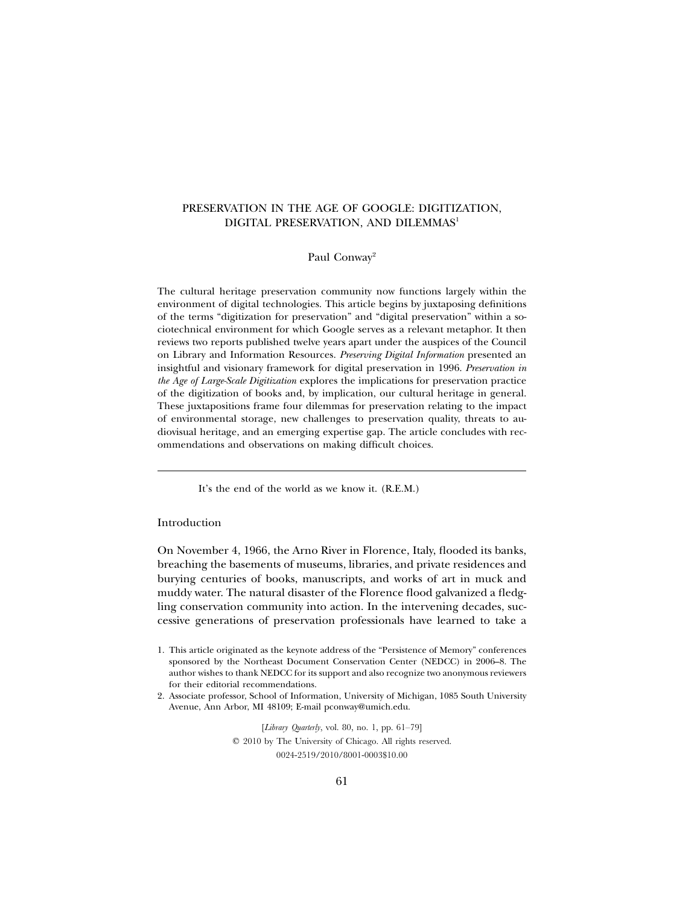## PRESERVATION IN THE AGE OF GOOGLE: DIGITIZATION, DIGITAL PRESERVATION, AND DILEMMAS<sup>1</sup>

## Paul Conway<sup>2</sup>

The cultural heritage preservation community now functions largely within the environment of digital technologies. This article begins by juxtaposing definitions of the terms "digitization for preservation" and "digital preservation" within a sociotechnical environment for which Google serves as a relevant metaphor. It then reviews two reports published twelve years apart under the auspices of the Council on Library and Information Resources. *Preserving Digital Information* presented an insightful and visionary framework for digital preservation in 1996. *Preservation in the Age of Large-Scale Digitization* explores the implications for preservation practice of the digitization of books and, by implication, our cultural heritage in general. These juxtapositions frame four dilemmas for preservation relating to the impact of environmental storage, new challenges to preservation quality, threats to audiovisual heritage, and an emerging expertise gap. The article concludes with recommendations and observations on making difficult choices.

It's the end of the world as we know it. (R.E.M.)

### Introduction

On November 4, 1966, the Arno River in Florence, Italy, flooded its banks, breaching the basements of museums, libraries, and private residences and burying centuries of books, manuscripts, and works of art in muck and muddy water. The natural disaster of the Florence flood galvanized a fledgling conservation community into action. In the intervening decades, successive generations of preservation professionals have learned to take a

- 1. This article originated as the keynote address of the "Persistence of Memory" conferences sponsored by the Northeast Document Conservation Center (NEDCC) in 2006–8. The author wishes to thank NEDCC for its support and also recognize two anonymous reviewers for their editorial recommendations.
- 2. Associate professor, School of Information, University of Michigan, 1085 South University Avenue, Ann Arbor, MI 48109; E-mail pconway@umich.edu.

[*Library Quarterly*, vol. 80, no. 1, pp. 61–79] 2010 by The University of Chicago. All rights reserved. 0024-2519/2010/8001-0003\$10.00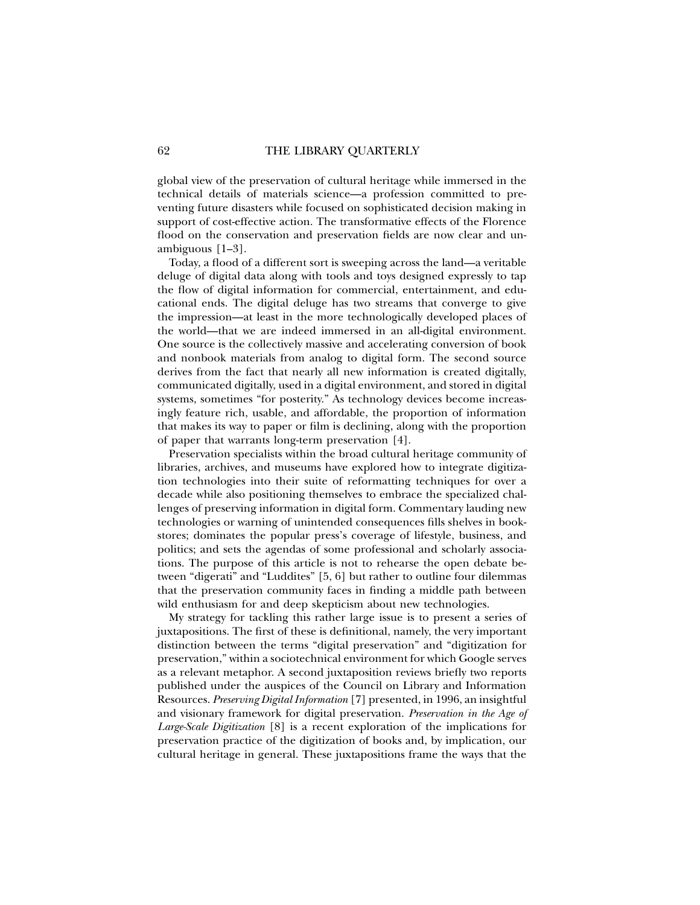global view of the preservation of cultural heritage while immersed in the technical details of materials science—a profession committed to preventing future disasters while focused on sophisticated decision making in support of cost-effective action. The transformative effects of the Florence flood on the conservation and preservation fields are now clear and unambiguous [1–3].

Today, a flood of a different sort is sweeping across the land—a veritable deluge of digital data along with tools and toys designed expressly to tap the flow of digital information for commercial, entertainment, and educational ends. The digital deluge has two streams that converge to give the impression—at least in the more technologically developed places of the world—that we are indeed immersed in an all-digital environment. One source is the collectively massive and accelerating conversion of book and nonbook materials from analog to digital form. The second source derives from the fact that nearly all new information is created digitally, communicated digitally, used in a digital environment, and stored in digital systems, sometimes "for posterity." As technology devices become increasingly feature rich, usable, and affordable, the proportion of information that makes its way to paper or film is declining, along with the proportion of paper that warrants long-term preservation [4].

Preservation specialists within the broad cultural heritage community of libraries, archives, and museums have explored how to integrate digitization technologies into their suite of reformatting techniques for over a decade while also positioning themselves to embrace the specialized challenges of preserving information in digital form. Commentary lauding new technologies or warning of unintended consequences fills shelves in bookstores; dominates the popular press's coverage of lifestyle, business, and politics; and sets the agendas of some professional and scholarly associations. The purpose of this article is not to rehearse the open debate between "digerati" and "Luddites" [5, 6] but rather to outline four dilemmas that the preservation community faces in finding a middle path between wild enthusiasm for and deep skepticism about new technologies.

My strategy for tackling this rather large issue is to present a series of juxtapositions. The first of these is definitional, namely, the very important distinction between the terms "digital preservation" and "digitization for preservation," within a sociotechnical environment for which Google serves as a relevant metaphor. A second juxtaposition reviews briefly two reports published under the auspices of the Council on Library and Information Resources. *Preserving Digital Information* [7] presented, in 1996, an insightful and visionary framework for digital preservation. *Preservation in the Age of Large-Scale Digitization* [8] is a recent exploration of the implications for preservation practice of the digitization of books and, by implication, our cultural heritage in general. These juxtapositions frame the ways that the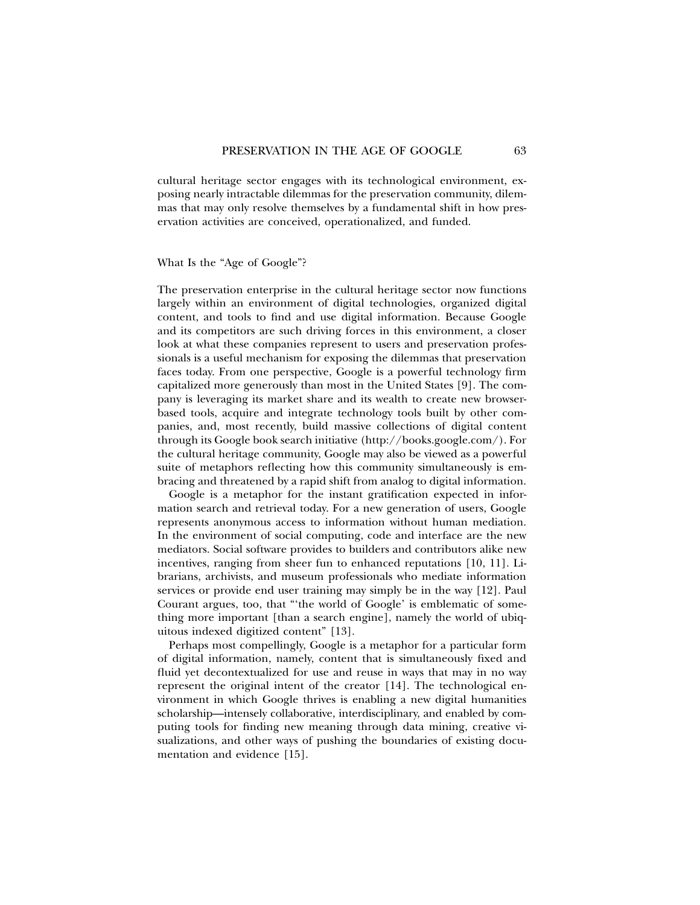cultural heritage sector engages with its technological environment, exposing nearly intractable dilemmas for the preservation community, dilemmas that may only resolve themselves by a fundamental shift in how preservation activities are conceived, operationalized, and funded.

What Is the "Age of Google"?

The preservation enterprise in the cultural heritage sector now functions largely within an environment of digital technologies, organized digital content, and tools to find and use digital information. Because Google and its competitors are such driving forces in this environment, a closer look at what these companies represent to users and preservation professionals is a useful mechanism for exposing the dilemmas that preservation faces today. From one perspective, Google is a powerful technology firm capitalized more generously than most in the United States [9]. The company is leveraging its market share and its wealth to create new browserbased tools, acquire and integrate technology tools built by other companies, and, most recently, build massive collections of digital content through its Google book search initiative (http://books.google.com/). For the cultural heritage community, Google may also be viewed as a powerful suite of metaphors reflecting how this community simultaneously is embracing and threatened by a rapid shift from analog to digital information.

Google is a metaphor for the instant gratification expected in information search and retrieval today. For a new generation of users, Google represents anonymous access to information without human mediation. In the environment of social computing, code and interface are the new mediators. Social software provides to builders and contributors alike new incentives, ranging from sheer fun to enhanced reputations [10, 11]. Librarians, archivists, and museum professionals who mediate information services or provide end user training may simply be in the way [12]. Paul Courant argues, too, that "'the world of Google' is emblematic of something more important [than a search engine], namely the world of ubiquitous indexed digitized content" [13].

Perhaps most compellingly, Google is a metaphor for a particular form of digital information, namely, content that is simultaneously fixed and fluid yet decontextualized for use and reuse in ways that may in no way represent the original intent of the creator [14]. The technological environment in which Google thrives is enabling a new digital humanities scholarship—intensely collaborative, interdisciplinary, and enabled by computing tools for finding new meaning through data mining, creative visualizations, and other ways of pushing the boundaries of existing documentation and evidence [15].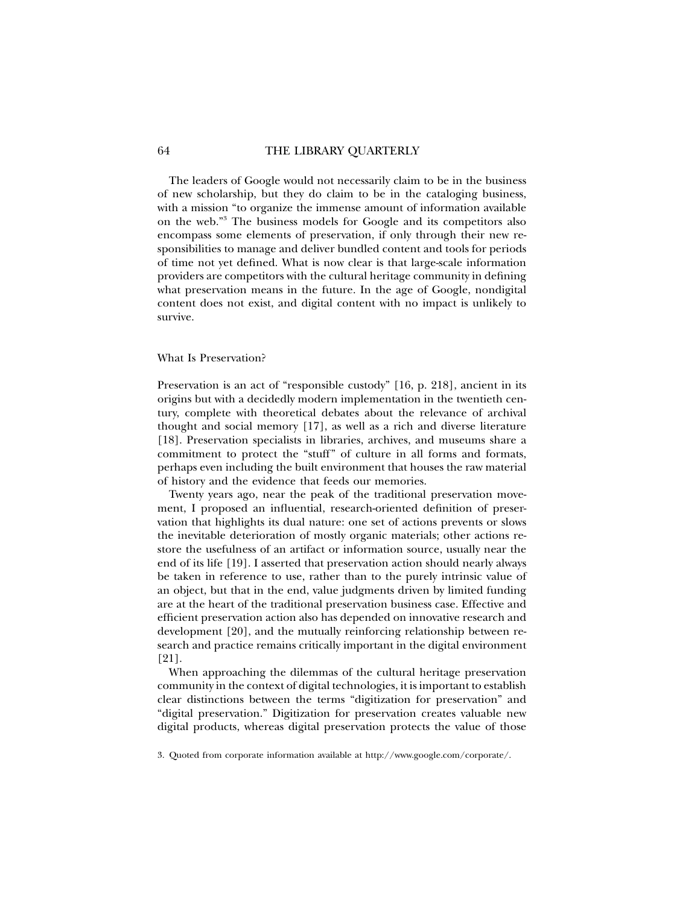The leaders of Google would not necessarily claim to be in the business of new scholarship, but they do claim to be in the cataloging business, with a mission "to organize the immense amount of information available on the web."3 The business models for Google and its competitors also encompass some elements of preservation, if only through their new responsibilities to manage and deliver bundled content and tools for periods of time not yet defined. What is now clear is that large-scale information providers are competitors with the cultural heritage community in defining what preservation means in the future. In the age of Google, nondigital content does not exist, and digital content with no impact is unlikely to survive.

### What Is Preservation?

Preservation is an act of "responsible custody" [16, p. 218], ancient in its origins but with a decidedly modern implementation in the twentieth century, complete with theoretical debates about the relevance of archival thought and social memory [17], as well as a rich and diverse literature [18]. Preservation specialists in libraries, archives, and museums share a commitment to protect the "stuff" of culture in all forms and formats, perhaps even including the built environment that houses the raw material of history and the evidence that feeds our memories.

Twenty years ago, near the peak of the traditional preservation movement, I proposed an influential, research-oriented definition of preservation that highlights its dual nature: one set of actions prevents or slows the inevitable deterioration of mostly organic materials; other actions restore the usefulness of an artifact or information source, usually near the end of its life [19]. I asserted that preservation action should nearly always be taken in reference to use, rather than to the purely intrinsic value of an object, but that in the end, value judgments driven by limited funding are at the heart of the traditional preservation business case. Effective and efficient preservation action also has depended on innovative research and development [20], and the mutually reinforcing relationship between research and practice remains critically important in the digital environment [21].

When approaching the dilemmas of the cultural heritage preservation community in the context of digital technologies, it is important to establish clear distinctions between the terms "digitization for preservation" and "digital preservation." Digitization for preservation creates valuable new digital products, whereas digital preservation protects the value of those

3. Quoted from corporate information available at http://www.google.com/corporate/.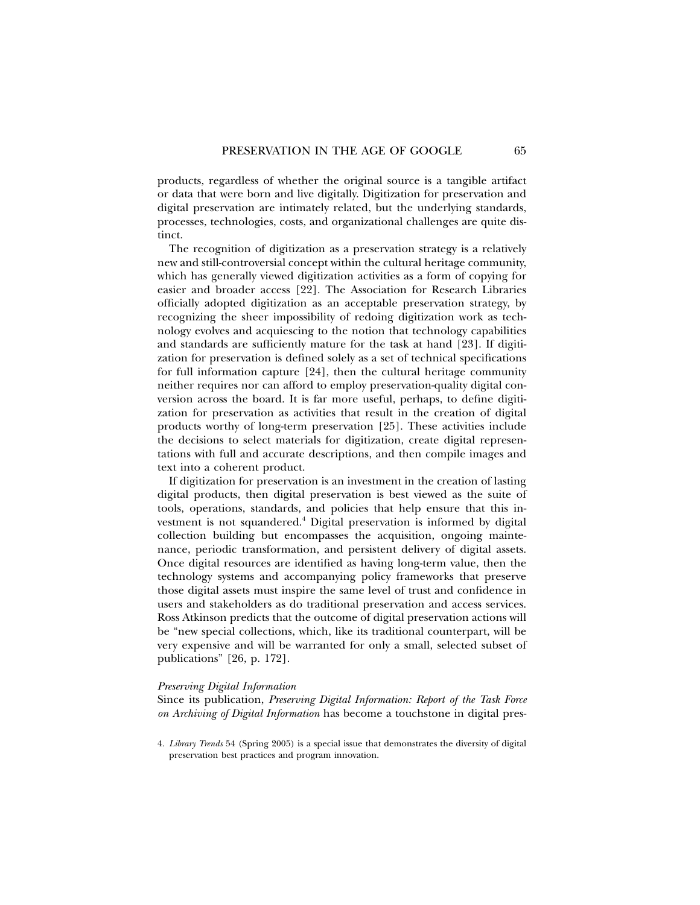products, regardless of whether the original source is a tangible artifact or data that were born and live digitally. Digitization for preservation and digital preservation are intimately related, but the underlying standards, processes, technologies, costs, and organizational challenges are quite distinct.

The recognition of digitization as a preservation strategy is a relatively new and still-controversial concept within the cultural heritage community, which has generally viewed digitization activities as a form of copying for easier and broader access [22]. The Association for Research Libraries officially adopted digitization as an acceptable preservation strategy, by recognizing the sheer impossibility of redoing digitization work as technology evolves and acquiescing to the notion that technology capabilities and standards are sufficiently mature for the task at hand [23]. If digitization for preservation is defined solely as a set of technical specifications for full information capture [24], then the cultural heritage community neither requires nor can afford to employ preservation-quality digital conversion across the board. It is far more useful, perhaps, to define digitization for preservation as activities that result in the creation of digital products worthy of long-term preservation [25]. These activities include the decisions to select materials for digitization, create digital representations with full and accurate descriptions, and then compile images and text into a coherent product.

If digitization for preservation is an investment in the creation of lasting digital products, then digital preservation is best viewed as the suite of tools, operations, standards, and policies that help ensure that this investment is not squandered.<sup>4</sup> Digital preservation is informed by digital collection building but encompasses the acquisition, ongoing maintenance, periodic transformation, and persistent delivery of digital assets. Once digital resources are identified as having long-term value, then the technology systems and accompanying policy frameworks that preserve those digital assets must inspire the same level of trust and confidence in users and stakeholders as do traditional preservation and access services. Ross Atkinson predicts that the outcome of digital preservation actions will be "new special collections, which, like its traditional counterpart, will be very expensive and will be warranted for only a small, selected subset of publications" [26, p. 172].

#### *Preserving Digital Information*

Since its publication, *Preserving Digital Information: Report of the Task Force on Archiving of Digital Information* has become a touchstone in digital pres-

<sup>4.</sup> *Library Trends* 54 (Spring 2005) is a special issue that demonstrates the diversity of digital preservation best practices and program innovation.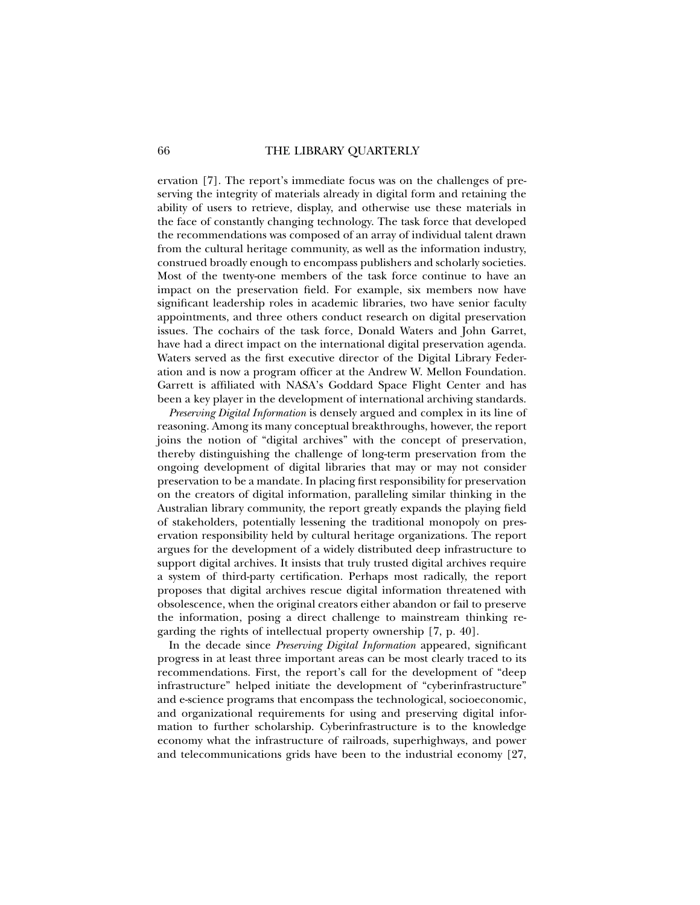ervation [7]. The report's immediate focus was on the challenges of preserving the integrity of materials already in digital form and retaining the ability of users to retrieve, display, and otherwise use these materials in the face of constantly changing technology. The task force that developed the recommendations was composed of an array of individual talent drawn from the cultural heritage community, as well as the information industry, construed broadly enough to encompass publishers and scholarly societies. Most of the twenty-one members of the task force continue to have an impact on the preservation field. For example, six members now have significant leadership roles in academic libraries, two have senior faculty appointments, and three others conduct research on digital preservation issues. The cochairs of the task force, Donald Waters and John Garret, have had a direct impact on the international digital preservation agenda. Waters served as the first executive director of the Digital Library Federation and is now a program officer at the Andrew W. Mellon Foundation. Garrett is affiliated with NASA's Goddard Space Flight Center and has been a key player in the development of international archiving standards.

*Preserving Digital Information* is densely argued and complex in its line of reasoning. Among its many conceptual breakthroughs, however, the report joins the notion of "digital archives" with the concept of preservation, thereby distinguishing the challenge of long-term preservation from the ongoing development of digital libraries that may or may not consider preservation to be a mandate. In placing first responsibility for preservation on the creators of digital information, paralleling similar thinking in the Australian library community, the report greatly expands the playing field of stakeholders, potentially lessening the traditional monopoly on preservation responsibility held by cultural heritage organizations. The report argues for the development of a widely distributed deep infrastructure to support digital archives. It insists that truly trusted digital archives require a system of third-party certification. Perhaps most radically, the report proposes that digital archives rescue digital information threatened with obsolescence, when the original creators either abandon or fail to preserve the information, posing a direct challenge to mainstream thinking regarding the rights of intellectual property ownership [7, p. 40].

In the decade since *Preserving Digital Information* appeared, significant progress in at least three important areas can be most clearly traced to its recommendations. First, the report's call for the development of "deep infrastructure" helped initiate the development of "cyberinfrastructure" and e-science programs that encompass the technological, socioeconomic, and organizational requirements for using and preserving digital information to further scholarship. Cyberinfrastructure is to the knowledge economy what the infrastructure of railroads, superhighways, and power and telecommunications grids have been to the industrial economy [27,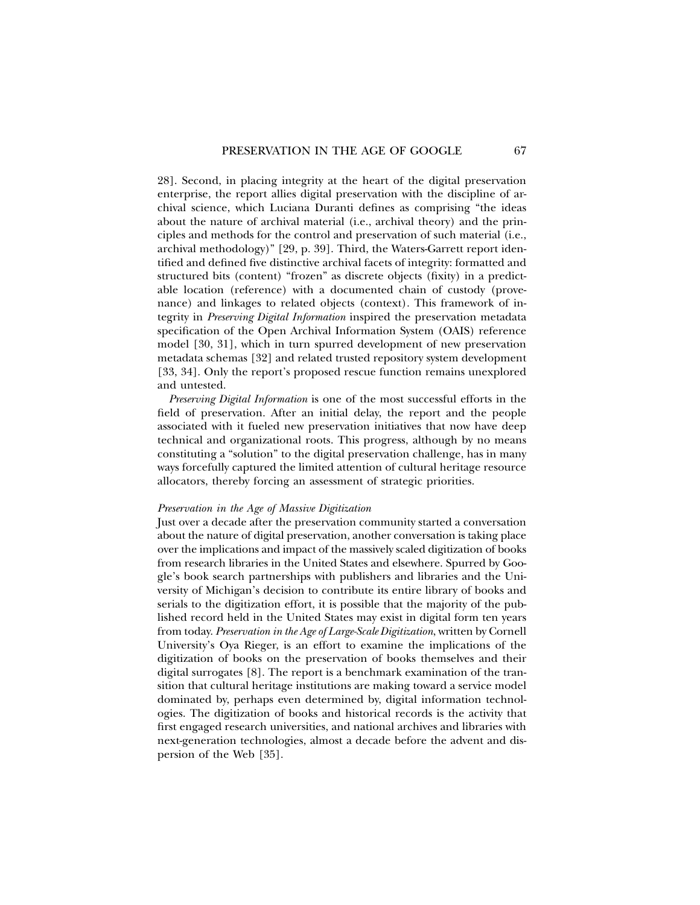28]. Second, in placing integrity at the heart of the digital preservation enterprise, the report allies digital preservation with the discipline of archival science, which Luciana Duranti defines as comprising "the ideas about the nature of archival material (i.e., archival theory) and the principles and methods for the control and preservation of such material (i.e., archival methodology)" [29, p. 39]. Third, the Waters-Garrett report identified and defined five distinctive archival facets of integrity: formatted and structured bits (content) "frozen" as discrete objects (fixity) in a predictable location (reference) with a documented chain of custody (provenance) and linkages to related objects (context). This framework of integrity in *Preserving Digital Information* inspired the preservation metadata specification of the Open Archival Information System (OAIS) reference model [30, 31], which in turn spurred development of new preservation metadata schemas [32] and related trusted repository system development [33, 34]. Only the report's proposed rescue function remains unexplored and untested.

*Preserving Digital Information* is one of the most successful efforts in the field of preservation. After an initial delay, the report and the people associated with it fueled new preservation initiatives that now have deep technical and organizational roots. This progress, although by no means constituting a "solution" to the digital preservation challenge, has in many ways forcefully captured the limited attention of cultural heritage resource allocators, thereby forcing an assessment of strategic priorities.

### *Preservation in the Age of Massive Digitization*

Just over a decade after the preservation community started a conversation about the nature of digital preservation, another conversation is taking place over the implications and impact of the massively scaled digitization of books from research libraries in the United States and elsewhere. Spurred by Google's book search partnerships with publishers and libraries and the University of Michigan's decision to contribute its entire library of books and serials to the digitization effort, it is possible that the majority of the published record held in the United States may exist in digital form ten years from today. *Preservation in the Age of Large-Scale Digitization*, written by Cornell University's Oya Rieger, is an effort to examine the implications of the digitization of books on the preservation of books themselves and their digital surrogates [8]. The report is a benchmark examination of the transition that cultural heritage institutions are making toward a service model dominated by, perhaps even determined by, digital information technologies. The digitization of books and historical records is the activity that first engaged research universities, and national archives and libraries with next-generation technologies, almost a decade before the advent and dispersion of the Web [35].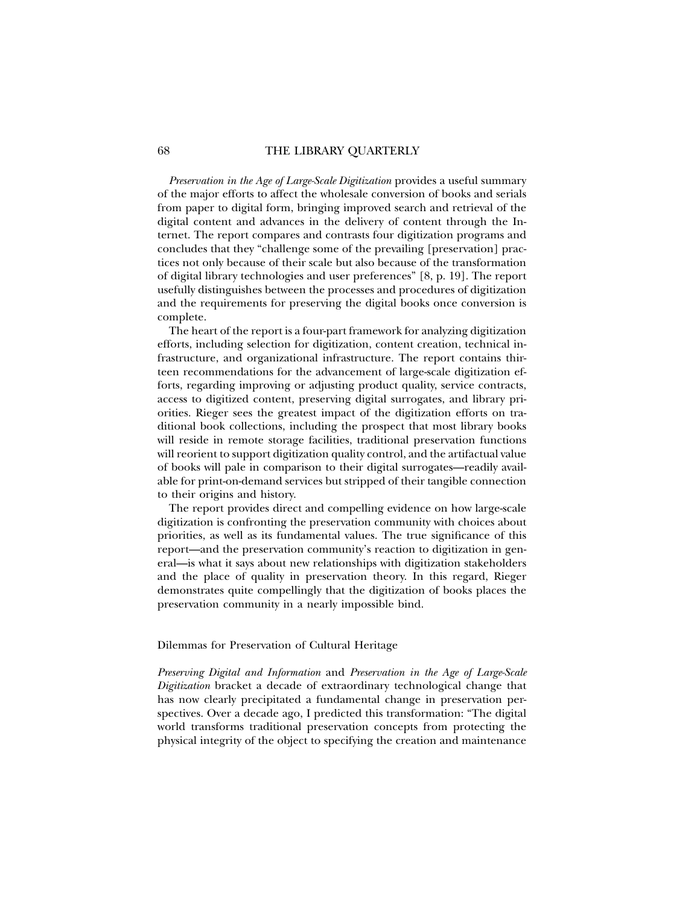*Preservation in the Age of Large-Scale Digitization* provides a useful summary of the major efforts to affect the wholesale conversion of books and serials from paper to digital form, bringing improved search and retrieval of the digital content and advances in the delivery of content through the Internet. The report compares and contrasts four digitization programs and concludes that they "challenge some of the prevailing [preservation] practices not only because of their scale but also because of the transformation of digital library technologies and user preferences" [8, p. 19]. The report usefully distinguishes between the processes and procedures of digitization and the requirements for preserving the digital books once conversion is complete.

The heart of the report is a four-part framework for analyzing digitization efforts, including selection for digitization, content creation, technical infrastructure, and organizational infrastructure. The report contains thirteen recommendations for the advancement of large-scale digitization efforts, regarding improving or adjusting product quality, service contracts, access to digitized content, preserving digital surrogates, and library priorities. Rieger sees the greatest impact of the digitization efforts on traditional book collections, including the prospect that most library books will reside in remote storage facilities, traditional preservation functions will reorient to support digitization quality control, and the artifactual value of books will pale in comparison to their digital surrogates—readily available for print-on-demand services but stripped of their tangible connection to their origins and history.

The report provides direct and compelling evidence on how large-scale digitization is confronting the preservation community with choices about priorities, as well as its fundamental values. The true significance of this report—and the preservation community's reaction to digitization in general—is what it says about new relationships with digitization stakeholders and the place of quality in preservation theory. In this regard, Rieger demonstrates quite compellingly that the digitization of books places the preservation community in a nearly impossible bind.

#### Dilemmas for Preservation of Cultural Heritage

*Preserving Digital and Information* and *Preservation in the Age of Large-Scale Digitization* bracket a decade of extraordinary technological change that has now clearly precipitated a fundamental change in preservation perspectives. Over a decade ago, I predicted this transformation: "The digital world transforms traditional preservation concepts from protecting the physical integrity of the object to specifying the creation and maintenance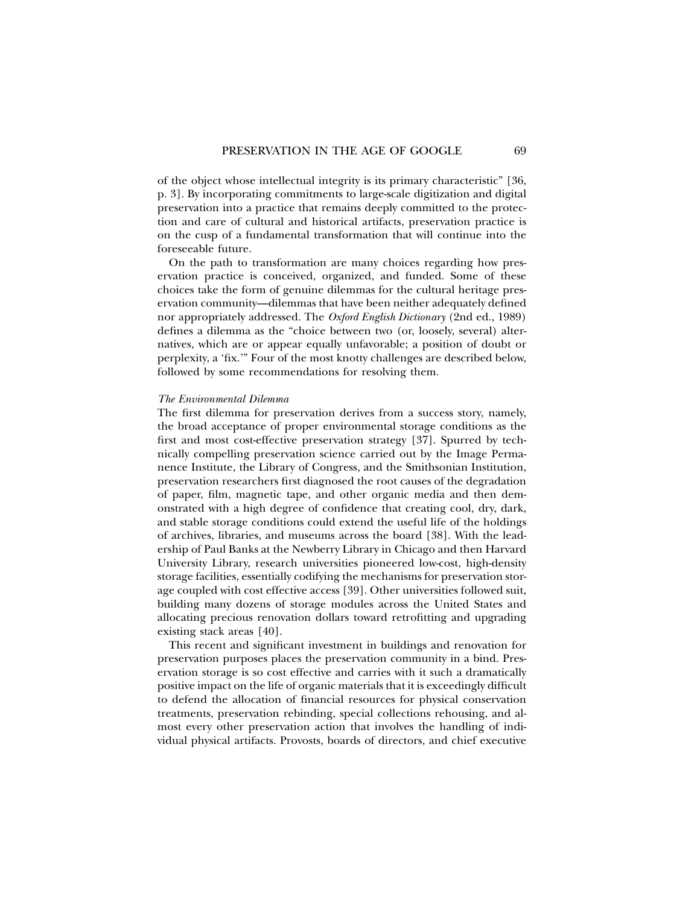of the object whose intellectual integrity is its primary characteristic" [36, p. 3]. By incorporating commitments to large-scale digitization and digital preservation into a practice that remains deeply committed to the protection and care of cultural and historical artifacts, preservation practice is on the cusp of a fundamental transformation that will continue into the foreseeable future.

On the path to transformation are many choices regarding how preservation practice is conceived, organized, and funded. Some of these choices take the form of genuine dilemmas for the cultural heritage preservation community—dilemmas that have been neither adequately defined nor appropriately addressed. The *Oxford English Dictionary* (2nd ed., 1989) defines a dilemma as the "choice between two (or, loosely, several) alternatives, which are or appear equally unfavorable; a position of doubt or perplexity, a 'fix.'" Four of the most knotty challenges are described below, followed by some recommendations for resolving them.

#### *The Environmental Dilemma*

The first dilemma for preservation derives from a success story, namely, the broad acceptance of proper environmental storage conditions as the first and most cost-effective preservation strategy [37]. Spurred by technically compelling preservation science carried out by the Image Permanence Institute, the Library of Congress, and the Smithsonian Institution, preservation researchers first diagnosed the root causes of the degradation of paper, film, magnetic tape, and other organic media and then demonstrated with a high degree of confidence that creating cool, dry, dark, and stable storage conditions could extend the useful life of the holdings of archives, libraries, and museums across the board [38]. With the leadership of Paul Banks at the Newberry Library in Chicago and then Harvard University Library, research universities pioneered low-cost, high-density storage facilities, essentially codifying the mechanisms for preservation storage coupled with cost effective access [39]. Other universities followed suit, building many dozens of storage modules across the United States and allocating precious renovation dollars toward retrofitting and upgrading existing stack areas [40].

This recent and significant investment in buildings and renovation for preservation purposes places the preservation community in a bind. Preservation storage is so cost effective and carries with it such a dramatically positive impact on the life of organic materials that it is exceedingly difficult to defend the allocation of financial resources for physical conservation treatments, preservation rebinding, special collections rehousing, and almost every other preservation action that involves the handling of individual physical artifacts. Provosts, boards of directors, and chief executive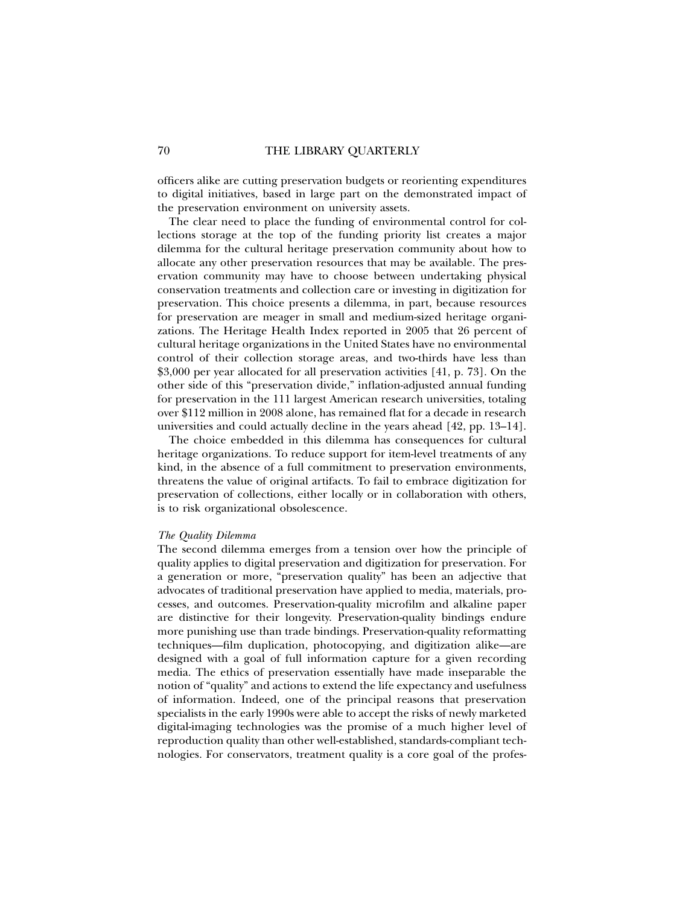officers alike are cutting preservation budgets or reorienting expenditures to digital initiatives, based in large part on the demonstrated impact of the preservation environment on university assets.

The clear need to place the funding of environmental control for collections storage at the top of the funding priority list creates a major dilemma for the cultural heritage preservation community about how to allocate any other preservation resources that may be available. The preservation community may have to choose between undertaking physical conservation treatments and collection care or investing in digitization for preservation. This choice presents a dilemma, in part, because resources for preservation are meager in small and medium-sized heritage organizations. The Heritage Health Index reported in 2005 that 26 percent of cultural heritage organizations in the United States have no environmental control of their collection storage areas, and two-thirds have less than \$3,000 per year allocated for all preservation activities [41, p. 73]. On the other side of this "preservation divide," inflation-adjusted annual funding for preservation in the 111 largest American research universities, totaling over \$112 million in 2008 alone, has remained flat for a decade in research universities and could actually decline in the years ahead [42, pp. 13–14].

The choice embedded in this dilemma has consequences for cultural heritage organizations. To reduce support for item-level treatments of any kind, in the absence of a full commitment to preservation environments, threatens the value of original artifacts. To fail to embrace digitization for preservation of collections, either locally or in collaboration with others, is to risk organizational obsolescence.

#### *The Quality Dilemma*

The second dilemma emerges from a tension over how the principle of quality applies to digital preservation and digitization for preservation. For a generation or more, "preservation quality" has been an adjective that advocates of traditional preservation have applied to media, materials, processes, and outcomes. Preservation-quality microfilm and alkaline paper are distinctive for their longevity. Preservation-quality bindings endure more punishing use than trade bindings. Preservation-quality reformatting techniques—film duplication, photocopying, and digitization alike—are designed with a goal of full information capture for a given recording media. The ethics of preservation essentially have made inseparable the notion of "quality" and actions to extend the life expectancy and usefulness of information. Indeed, one of the principal reasons that preservation specialists in the early 1990s were able to accept the risks of newly marketed digital-imaging technologies was the promise of a much higher level of reproduction quality than other well-established, standards-compliant technologies. For conservators, treatment quality is a core goal of the profes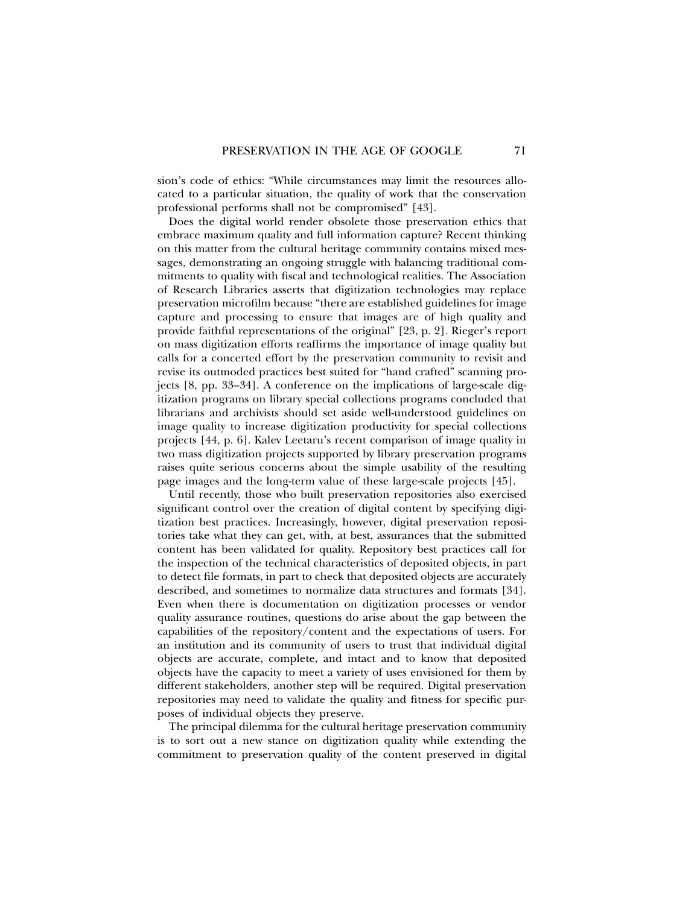sion's code of ethics: "While circumstances may limit the resources allocated to a particular situation, the quality of work that the conservation professional performs shall not be compromised" [43].

Does the digital world render obsolete those preservation ethics that embrace maximum quality and full information capture? Recent thinking on this matter from the cultural heritage community contains mixed messages, demonstrating an ongoing struggle with balancing traditional commitments to quality with fiscal and technological realities. The Association of Research Libraries asserts that digitization technologies may replace preservation microfilm because "there are established guidelines for image capture and processing to ensure that images are of high quality and provide faithful representations of the original" [23, p. 2]. Rieger's report on mass digitization efforts reaffirms the importance of image quality but calls for a concerted effort by the preservation community to revisit and revise its outmoded practices best suited for "hand crafted" scanning projects [8, pp. 33–34]. A conference on the implications of large-scale digitization programs on library special collections programs concluded that librarians and archivists should set aside well-understood guidelines on image quality to increase digitization productivity for special collections projects [44, p. 6]. Kalev Leetaru's recent comparison of image quality in two mass digitization projects supported by library preservation programs raises quite serious concerns about the simple usability of the resulting page images and the long-term value of these large-scale projects [45].

Until recently, those who built preservation repositories also exercised significant control over the creation of digital content by specifying digitization best practices. Increasingly, however, digital preservation repositories take what they can get, with, at best, assurances that the submitted content has been validated for quality. Repository best practices call for the inspection of the technical characteristics of deposited objects, in part to detect file formats, in part to check that deposited objects are accurately described, and sometimes to normalize data structures and formats [34]. Even when there is documentation on digitization processes or vendor quality assurance routines, questions do arise about the gap between the capabilities of the repository/content and the expectations of users. For an institution and its community of users to trust that individual digital objects are accurate, complete, and intact and to know that deposited objects have the capacity to meet a variety of uses envisioned for them by different stakeholders, another step will be required. Digital preservation repositories may need to validate the quality and fitness for specific purposes of individual objects they preserve.

The principal dilemma for the cultural heritage preservation community is to sort out a new stance on digitization quality while extending the commitment to preservation quality of the content preserved in digital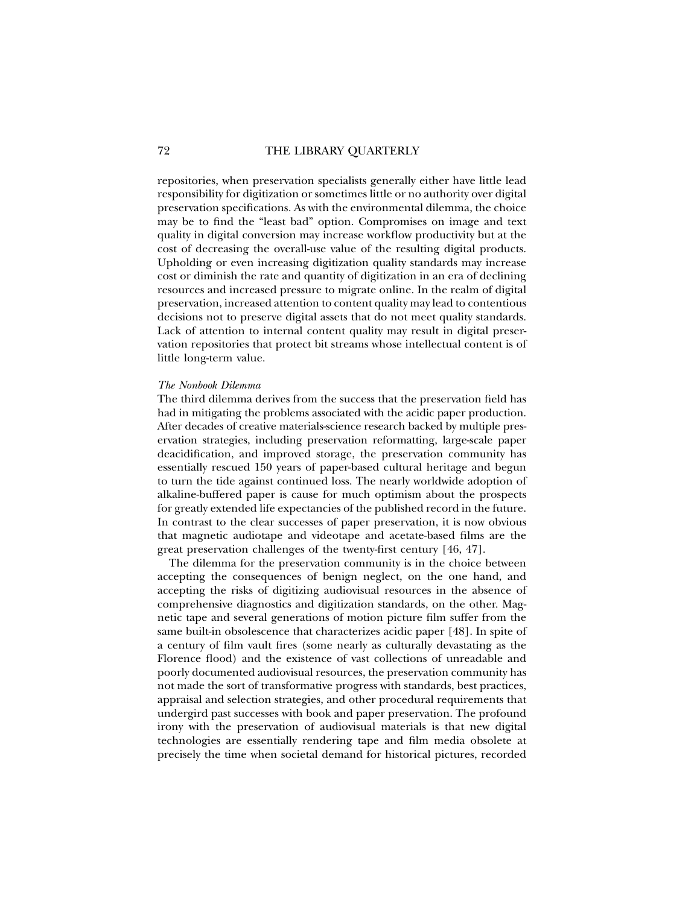repositories, when preservation specialists generally either have little lead responsibility for digitization or sometimes little or no authority over digital preservation specifications. As with the environmental dilemma, the choice may be to find the "least bad" option. Compromises on image and text quality in digital conversion may increase workflow productivity but at the cost of decreasing the overall-use value of the resulting digital products. Upholding or even increasing digitization quality standards may increase cost or diminish the rate and quantity of digitization in an era of declining resources and increased pressure to migrate online. In the realm of digital preservation, increased attention to content quality may lead to contentious decisions not to preserve digital assets that do not meet quality standards. Lack of attention to internal content quality may result in digital preservation repositories that protect bit streams whose intellectual content is of little long-term value.

#### *The Nonbook Dilemma*

The third dilemma derives from the success that the preservation field has had in mitigating the problems associated with the acidic paper production. After decades of creative materials-science research backed by multiple preservation strategies, including preservation reformatting, large-scale paper deacidification, and improved storage, the preservation community has essentially rescued 150 years of paper-based cultural heritage and begun to turn the tide against continued loss. The nearly worldwide adoption of alkaline-buffered paper is cause for much optimism about the prospects for greatly extended life expectancies of the published record in the future. In contrast to the clear successes of paper preservation, it is now obvious that magnetic audiotape and videotape and acetate-based films are the great preservation challenges of the twenty-first century [46, 47].

The dilemma for the preservation community is in the choice between accepting the consequences of benign neglect, on the one hand, and accepting the risks of digitizing audiovisual resources in the absence of comprehensive diagnostics and digitization standards, on the other. Magnetic tape and several generations of motion picture film suffer from the same built-in obsolescence that characterizes acidic paper [48]. In spite of a century of film vault fires (some nearly as culturally devastating as the Florence flood) and the existence of vast collections of unreadable and poorly documented audiovisual resources, the preservation community has not made the sort of transformative progress with standards, best practices, appraisal and selection strategies, and other procedural requirements that undergird past successes with book and paper preservation. The profound irony with the preservation of audiovisual materials is that new digital technologies are essentially rendering tape and film media obsolete at precisely the time when societal demand for historical pictures, recorded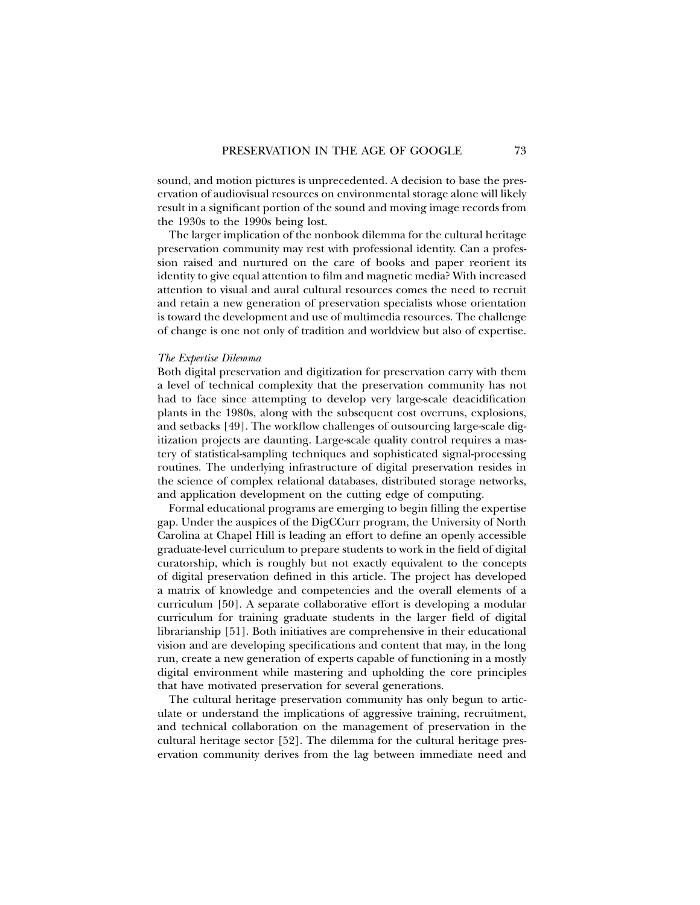sound, and motion pictures is unprecedented. A decision to base the preservation of audiovisual resources on environmental storage alone will likely result in a significant portion of the sound and moving image records from the 1930s to the 1990s being lost.

The larger implication of the nonbook dilemma for the cultural heritage preservation community may rest with professional identity. Can a profession raised and nurtured on the care of books and paper reorient its identity to give equal attention to film and magnetic media? With increased attention to visual and aural cultural resources comes the need to recruit and retain a new generation of preservation specialists whose orientation is toward the development and use of multimedia resources. The challenge of change is one not only of tradition and worldview but also of expertise.

#### *The Expertise Dilemma*

Both digital preservation and digitization for preservation carry with them a level of technical complexity that the preservation community has not had to face since attempting to develop very large-scale deacidification plants in the 1980s, along with the subsequent cost overruns, explosions, and setbacks [49]. The workflow challenges of outsourcing large-scale digitization projects are daunting. Large-scale quality control requires a mastery of statistical-sampling techniques and sophisticated signal-processing routines. The underlying infrastructure of digital preservation resides in the science of complex relational databases, distributed storage networks, and application development on the cutting edge of computing.

Formal educational programs are emerging to begin filling the expertise gap. Under the auspices of the DigCCurr program, the University of North Carolina at Chapel Hill is leading an effort to define an openly accessible graduate-level curriculum to prepare students to work in the field of digital curatorship, which is roughly but not exactly equivalent to the concepts of digital preservation defined in this article. The project has developed a matrix of knowledge and competencies and the overall elements of a curriculum [50]. A separate collaborative effort is developing a modular curriculum for training graduate students in the larger field of digital librarianship [51]. Both initiatives are comprehensive in their educational vision and are developing specifications and content that may, in the long run, create a new generation of experts capable of functioning in a mostly digital environment while mastering and upholding the core principles that have motivated preservation for several generations.

The cultural heritage preservation community has only begun to articulate or understand the implications of aggressive training, recruitment, and technical collaboration on the management of preservation in the cultural heritage sector [52]. The dilemma for the cultural heritage preservation community derives from the lag between immediate need and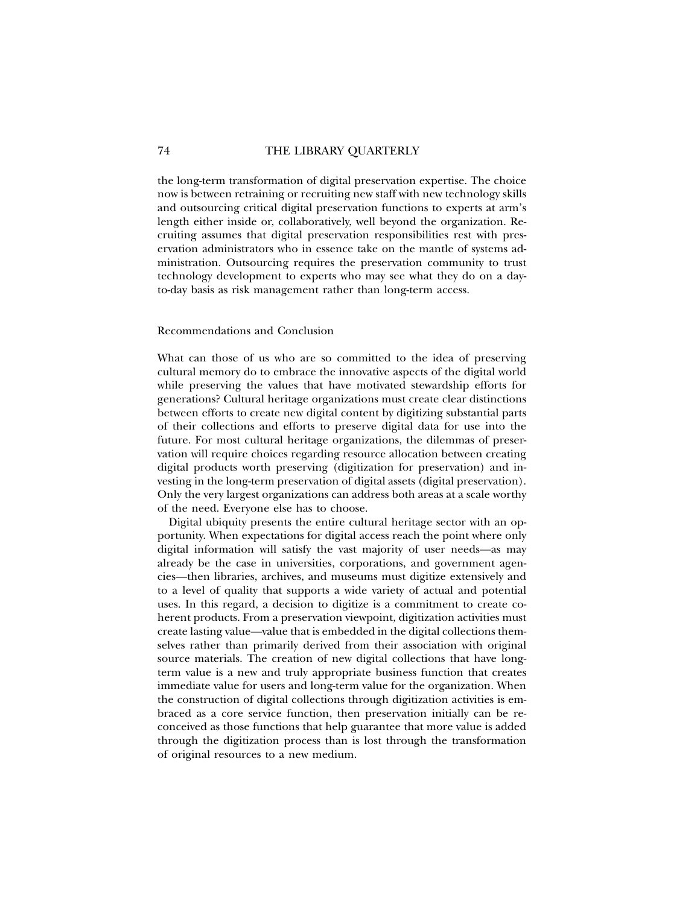the long-term transformation of digital preservation expertise. The choice now is between retraining or recruiting new staff with new technology skills and outsourcing critical digital preservation functions to experts at arm's length either inside or, collaboratively, well beyond the organization. Recruiting assumes that digital preservation responsibilities rest with preservation administrators who in essence take on the mantle of systems administration. Outsourcing requires the preservation community to trust technology development to experts who may see what they do on a dayto-day basis as risk management rather than long-term access.

#### Recommendations and Conclusion

What can those of us who are so committed to the idea of preserving cultural memory do to embrace the innovative aspects of the digital world while preserving the values that have motivated stewardship efforts for generations? Cultural heritage organizations must create clear distinctions between efforts to create new digital content by digitizing substantial parts of their collections and efforts to preserve digital data for use into the future. For most cultural heritage organizations, the dilemmas of preservation will require choices regarding resource allocation between creating digital products worth preserving (digitization for preservation) and investing in the long-term preservation of digital assets (digital preservation). Only the very largest organizations can address both areas at a scale worthy of the need. Everyone else has to choose.

Digital ubiquity presents the entire cultural heritage sector with an opportunity. When expectations for digital access reach the point where only digital information will satisfy the vast majority of user needs—as may already be the case in universities, corporations, and government agencies—then libraries, archives, and museums must digitize extensively and to a level of quality that supports a wide variety of actual and potential uses. In this regard, a decision to digitize is a commitment to create coherent products. From a preservation viewpoint, digitization activities must create lasting value—value that is embedded in the digital collections themselves rather than primarily derived from their association with original source materials. The creation of new digital collections that have longterm value is a new and truly appropriate business function that creates immediate value for users and long-term value for the organization. When the construction of digital collections through digitization activities is embraced as a core service function, then preservation initially can be reconceived as those functions that help guarantee that more value is added through the digitization process than is lost through the transformation of original resources to a new medium.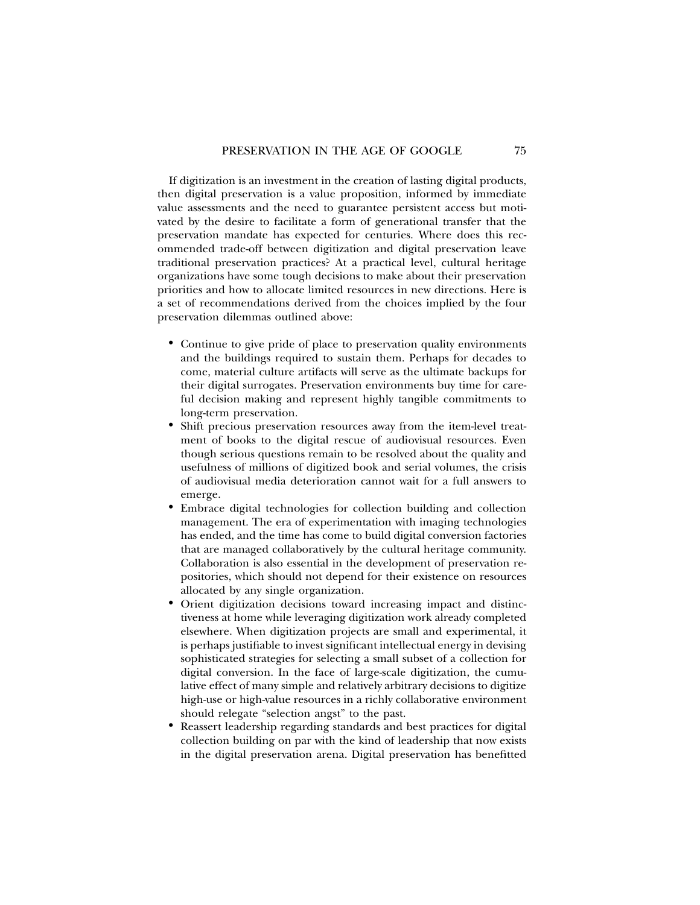If digitization is an investment in the creation of lasting digital products, then digital preservation is a value proposition, informed by immediate value assessments and the need to guarantee persistent access but motivated by the desire to facilitate a form of generational transfer that the preservation mandate has expected for centuries. Where does this recommended trade-off between digitization and digital preservation leave traditional preservation practices? At a practical level, cultural heritage organizations have some tough decisions to make about their preservation priorities and how to allocate limited resources in new directions. Here is a set of recommendations derived from the choices implied by the four preservation dilemmas outlined above:

- Continue to give pride of place to preservation quality environments and the buildings required to sustain them. Perhaps for decades to come, material culture artifacts will serve as the ultimate backups for their digital surrogates. Preservation environments buy time for careful decision making and represent highly tangible commitments to long-term preservation.
- Shift precious preservation resources away from the item-level treatment of books to the digital rescue of audiovisual resources. Even though serious questions remain to be resolved about the quality and usefulness of millions of digitized book and serial volumes, the crisis of audiovisual media deterioration cannot wait for a full answers to emerge.
- Embrace digital technologies for collection building and collection management. The era of experimentation with imaging technologies has ended, and the time has come to build digital conversion factories that are managed collaboratively by the cultural heritage community. Collaboration is also essential in the development of preservation repositories, which should not depend for their existence on resources allocated by any single organization.
- Orient digitization decisions toward increasing impact and distinctiveness at home while leveraging digitization work already completed elsewhere. When digitization projects are small and experimental, it is perhaps justifiable to invest significant intellectual energy in devising sophisticated strategies for selecting a small subset of a collection for digital conversion. In the face of large-scale digitization, the cumulative effect of many simple and relatively arbitrary decisions to digitize high-use or high-value resources in a richly collaborative environment should relegate "selection angst" to the past.
- Reassert leadership regarding standards and best practices for digital collection building on par with the kind of leadership that now exists in the digital preservation arena. Digital preservation has benefitted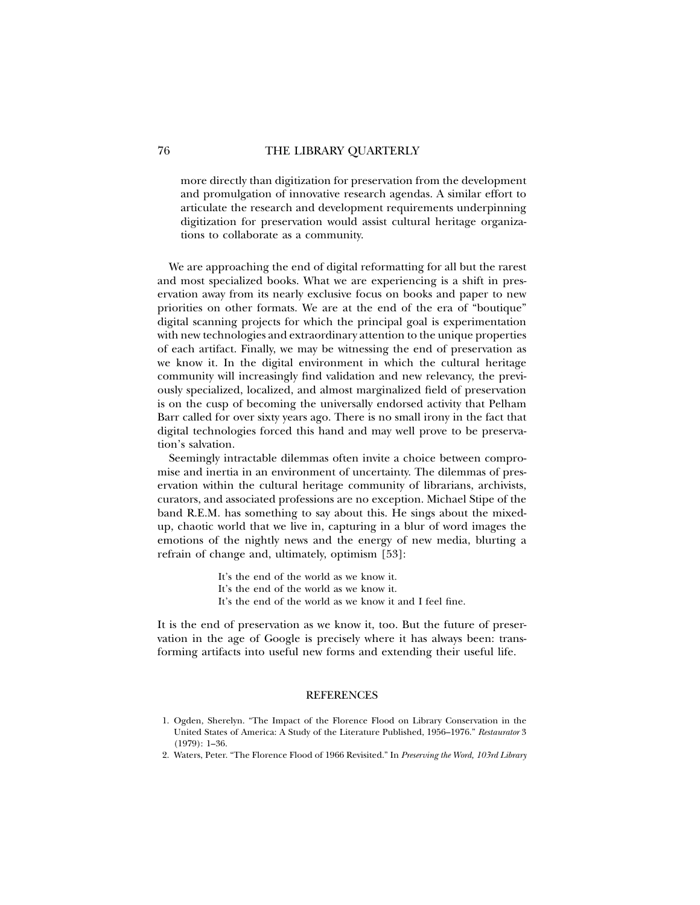more directly than digitization for preservation from the development and promulgation of innovative research agendas. A similar effort to articulate the research and development requirements underpinning digitization for preservation would assist cultural heritage organizations to collaborate as a community.

We are approaching the end of digital reformatting for all but the rarest and most specialized books. What we are experiencing is a shift in preservation away from its nearly exclusive focus on books and paper to new priorities on other formats. We are at the end of the era of "boutique" digital scanning projects for which the principal goal is experimentation with new technologies and extraordinary attention to the unique properties of each artifact. Finally, we may be witnessing the end of preservation as we know it. In the digital environment in which the cultural heritage community will increasingly find validation and new relevancy, the previously specialized, localized, and almost marginalized field of preservation is on the cusp of becoming the universally endorsed activity that Pelham Barr called for over sixty years ago. There is no small irony in the fact that digital technologies forced this hand and may well prove to be preservation's salvation.

Seemingly intractable dilemmas often invite a choice between compromise and inertia in an environment of uncertainty. The dilemmas of preservation within the cultural heritage community of librarians, archivists, curators, and associated professions are no exception. Michael Stipe of the band R.E.M. has something to say about this. He sings about the mixedup, chaotic world that we live in, capturing in a blur of word images the emotions of the nightly news and the energy of new media, blurting a refrain of change and, ultimately, optimism [53]:

> It's the end of the world as we know it. It's the end of the world as we know it. It's the end of the world as we know it and I feel fine.

It is the end of preservation as we know it, too. But the future of preservation in the age of Google is precisely where it has always been: transforming artifacts into useful new forms and extending their useful life.

#### **REFERENCES**

<sup>1.</sup> Ogden, Sherelyn. "The Impact of the Florence Flood on Library Conservation in the United States of America: A Study of the Literature Published, 1956–1976." *Restaurator* 3 (1979): 1–36.

<sup>2.</sup> Waters, Peter. "The Florence Flood of 1966 Revisited." In *Preserving the Word, 103rd Library*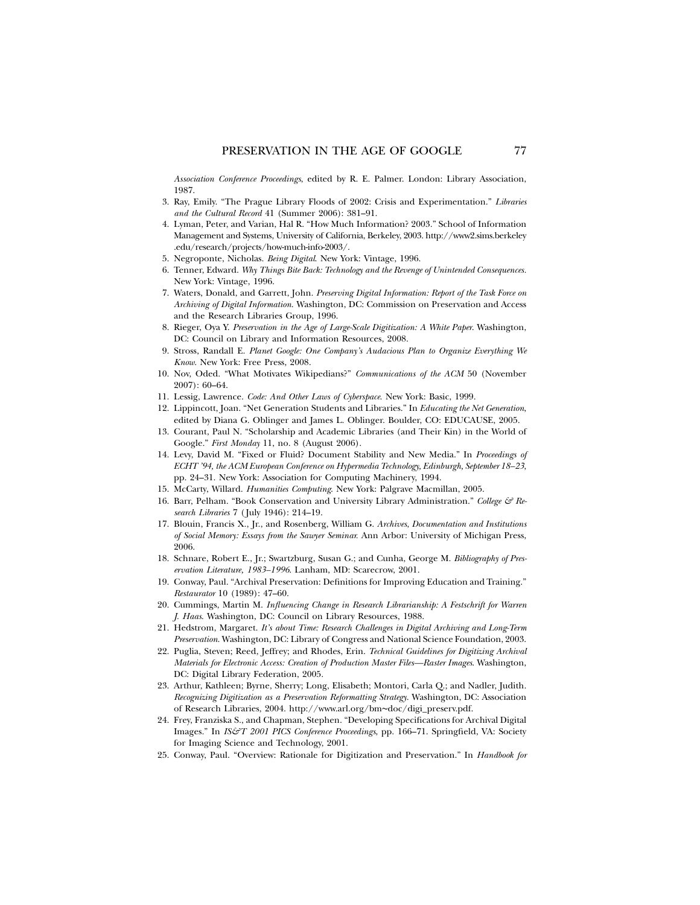*Association Conference Proceedings*, edited by R. E. Palmer. London: Library Association, 1987.

- 3. Ray, Emily. "The Prague Library Floods of 2002: Crisis and Experimentation." *Libraries and the Cultural Record* 41 (Summer 2006): 381–91.
- 4. Lyman, Peter, and Varian, Hal R. "How Much Information? 2003." School of Information Management and Systems, University of California, Berkeley, 2003. http://www2.sims.berkeley .edu/research/projects/how-much-info-2003/.
- 5. Negroponte, Nicholas. *Being Digital*. New York: Vintage, 1996.
- 6. Tenner, Edward. *Why Things Bite Back: Technology and the Revenge of Unintended Consequences.* New York: Vintage, 1996.
- 7. Waters, Donald, and Garrett, John. *Preserving Digital Information: Report of the Task Force on Archiving of Digital Information*. Washington, DC: Commission on Preservation and Access and the Research Libraries Group, 1996.
- 8. Rieger, Oya Y. *Preservation in the Age of Large-Scale Digitization: A White Paper*. Washington, DC: Council on Library and Information Resources, 2008.
- 9. Stross, Randall E. *Planet Google: One Company's Audacious Plan to Organize Everything We Know*. New York: Free Press, 2008.
- 10. Nov, Oded. "What Motivates Wikipedians?" *Communications of the ACM* 50 (November 2007): 60–64.
- 11. Lessig, Lawrence. *Code: And Other Laws of Cyberspace*. New York: Basic, 1999.
- 12. Lippincott, Joan. "Net Generation Students and Libraries." In *Educating the Net Generation*, edited by Diana G. Oblinger and James L. Oblinger. Boulder, CO: EDUCAUSE, 2005.
- 13. Courant, Paul N. "Scholarship and Academic Libraries (and Their Kin) in the World of Google." *First Monday* 11, no. 8 (August 2006).
- 14. Levy, David M. "Fixed or Fluid? Document Stability and New Media." In *Proceedings of ECHT '94, the ACM European Conference on Hypermedia Technology, Edinburgh, September 18–23*, pp. 24–31. New York: Association for Computing Machinery, 1994.
- 15. McCarty, Willard. *Humanities Computing*. New York: Palgrave Macmillan, 2005.
- 16. Barr, Pelham. "Book Conservation and University Library Administration." *College & Research Libraries* 7 ( July 1946): 214–19.
- 17. Blouin, Francis X., Jr., and Rosenberg, William G. *Archives*, *Documentation and Institutions of Social Memory: Essays from the Sawyer Seminar.* Ann Arbor: University of Michigan Press, 2006.
- 18. Schnare, Robert E., Jr.; Swartzburg, Susan G.; and Cunha, George M. *Bibliography of Preservation Literature, 1983–1996*. Lanham, MD: Scarecrow, 2001.
- 19. Conway, Paul. "Archival Preservation: Definitions for Improving Education and Training." *Restaurator* 10 (1989): 47–60.
- 20. Cummings, Martin M. *Influencing Change in Research Librarianship: A Festschrift for Warren J. Haas*. Washington, DC: Council on Library Resources, 1988.
- 21. Hedstrom, Margaret. *It's about Time: Research Challenges in Digital Archiving and Long-Term Preservation*. Washington, DC: Library of Congress and National Science Foundation, 2003.
- 22. Puglia, Steven; Reed, Jeffrey; and Rhodes, Erin. *Technical Guidelines for Digitizing Archival Materials for Electronic Access: Creation of Production Master Files—Raster Images*. Washington, DC: Digital Library Federation, 2005.
- 23. Arthur, Kathleen; Byrne, Sherry; Long, Elisabeth; Montori, Carla Q.; and Nadler, Judith. *Recognizing Digitization as a Preservation Reformatting Strategy*. Washington, DC: Association of Research Libraries, 2004. http://www.arl.org/bm∼doc/digi\_preserv.pdf.
- 24. Frey, Franziska S., and Chapman, Stephen. "Developing Specifications for Archival Digital Images." In *IS&T 2001 PICS Conference Proceedings*, pp. 166–71. Springfield, VA: Society for Imaging Science and Technology, 2001.
- 25. Conway, Paul. "Overview: Rationale for Digitization and Preservation." In *Handbook for*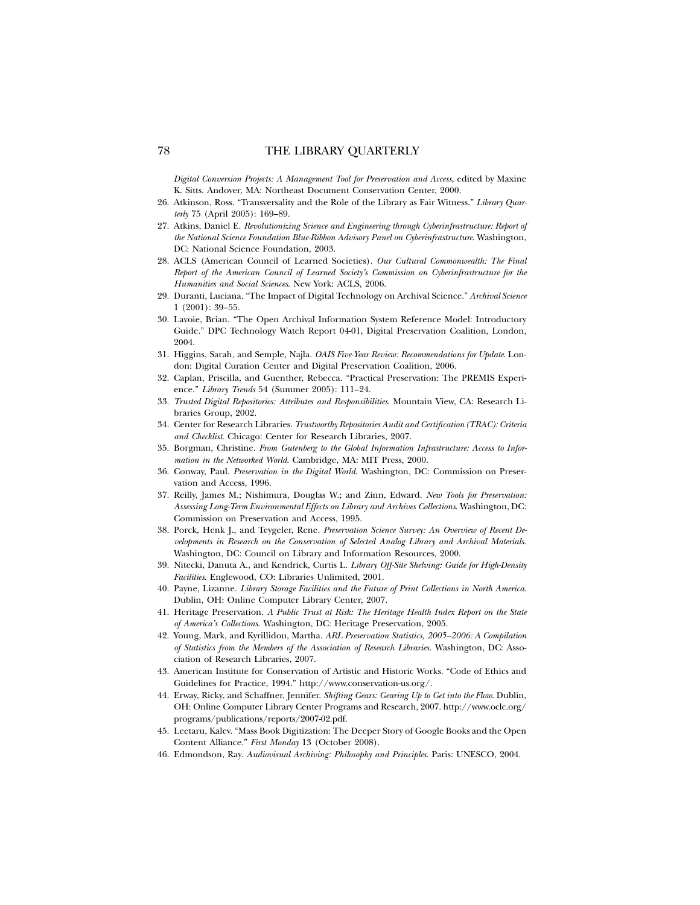*Digital Conversion Projects: A Management Tool for Preservation and Access*, edited by Maxine K. Sitts. Andover, MA: Northeast Document Conservation Center, 2000.

- 26. Atkinson, Ross. "Transversality and the Role of the Library as Fair Witness." *Library Quarterly* 75 (April 2005): 169–89.
- 27. Atkins, Daniel E. *Revolutionizing Science and Engineering through Cyberinfrastructure: Report of the National Science Foundation Blue-Ribbon Advisory Panel on Cyberinfrastructure*. Washington, DC: National Science Foundation, 2003.
- 28. ACLS (American Council of Learned Societies). *Our Cultural Commonwealth: The Final Report of the American Council of Learned Society's Commission on Cyberinfrastructure for the Humanities and Social Sciences*. New York: ACLS, 2006.
- 29. Duranti, Luciana. "The Impact of Digital Technology on Archival Science." *Archival Science* 1 (2001): 39–55.
- 30. Lavoie, Brian. "The Open Archival Information System Reference Model: Introductory Guide." DPC Technology Watch Report 04-01, Digital Preservation Coalition, London, 2004.
- 31. Higgins, Sarah, and Semple, Najla. *OAIS Five-Year Review: Recommendations for Update*. London: Digital Curation Center and Digital Preservation Coalition, 2006.
- 32. Caplan, Priscilla, and Guenther, Rebecca. "Practical Preservation: The PREMIS Experience." *Library Trends* 54 (Summer 2005): 111–24.
- 33. *Trusted Digital Repositories: Attributes and Responsibilities*. Mountain View, CA: Research Libraries Group, 2002.
- 34. Center for Research Libraries. *Trustworthy Repositories Audit and Certification (TRAC): Criteria and Checklist*. Chicago: Center for Research Libraries, 2007.
- 35. Borgman, Christine. *From Gutenberg to the Global Information Infrastructure: Access to Information in the Networked World*. Cambridge, MA: MIT Press, 2000.
- 36. Conway, Paul. *Preservation in the Digital World*. Washington, DC: Commission on Preservation and Access, 1996.
- 37. Reilly, James M.; Nishimura, Douglas W.; and Zinn, Edward. *New Tools for Preservation: Assessing Long-Term Environmental Effects on Library and Archives Collections*. Washington, DC: Commission on Preservation and Access, 1995.
- 38. Porck, Henk J., and Teygeler, Rene. *Preservation Science Survey: An Overview of Recent Developments in Research on the Conservation of Selected Analog Library and Archival Materials*. Washington, DC: Council on Library and Information Resources, 2000.
- 39. Nitecki, Danuta A., and Kendrick, Curtis L. *Library Off-Site Shelving: Guide for High-Density Facilities*. Englewood, CO: Libraries Unlimited, 2001.
- 40. Payne, Lizanne. *Library Storage Facilities and the Future of Print Collections in North America*. Dublin, OH: Online Computer Library Center, 2007.
- 41. Heritage Preservation. *A Public Trust at Risk: The Heritage Health Index Report on the State of America's Collections*. Washington, DC: Heritage Preservation, 2005.
- 42. Young, Mark, and Kyrillidou, Martha. *ARL Preservation Statistics, 2005–2006: A Compilation of Statistics from the Members of the Association of Research Libraries*. Washington, DC: Association of Research Libraries, 2007.
- 43. American Institute for Conservation of Artistic and Historic Works. "Code of Ethics and Guidelines for Practice, 1994." http://www.conservation-us.org/.
- 44. Erway, Ricky, and Schaffner, Jennifer. *Shifting Gears: Gearing Up to Get into the Flow*. Dublin, OH: Online Computer Library Center Programs and Research, 2007. http://www.oclc.org/ programs/publications/reports/2007-02.pdf.
- 45. Leetaru, Kalev. "Mass Book Digitization: The Deeper Story of Google Books and the Open Content Alliance." *First Monday* 13 (October 2008).
- 46. Edmondson, Ray. *Audiovisual Archiving: Philosophy and Principles*. Paris: UNESCO, 2004.